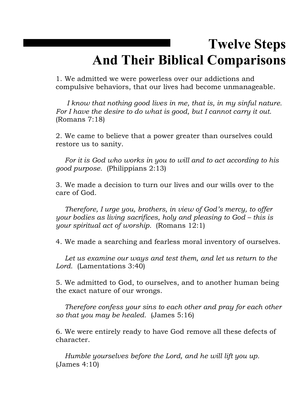## **Twelve Steps And Their Biblical Comparisons**

1. We admitted we were powerless over our addictions and compulsive behaviors, that our lives had become unmanageable.

*I know that nothing good lives in me, that is, in my sinful nature. For I have the desire to do what is good, but I cannot carry it out.*  (Romans 7:18)

2. We came to believe that a power greater than ourselves could restore us to sanity.

*For it is God who works in you to will and to act according to his good purpose.* (Philippians 2:13)

3. We made a decision to turn our lives and our wills over to the care of God.

*Therefore, I urge you, brothers, in view of God's mercy, to offer your bodies as living sacrifices, holy and pleasing to God – this is your spiritual act of worship.* (Romans 12:1)

4. We made a searching and fearless moral inventory of ourselves.

*Let us examine our ways and test them, and let us return to the Lord.* (Lamentations 3:40)

5. We admitted to God, to ourselves, and to another human being the exact nature of our wrongs.

*Therefore confess your sins to each other and pray for each other so that you may be healed.* (James 5:16)

6. We were entirely ready to have God remove all these defects of character.

*Humble yourselves before the Lord, and he will lift you up.* (James 4:10)